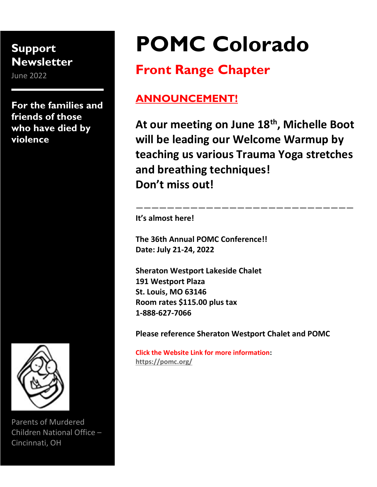# Support **Newsletter**

June 2022

For the families and friends of those who have died by violence



Parents of Murdered Children National Office – Cincinnati, OH

# POMC Colorado

# Front Range Chapter

# ANNOUNCEMENT!

At our meeting on June 18<sup>th</sup>, Michelle Boot will be leading our Welcome Warmup by teaching us various Trauma Yoga stretches and breathing techniques! Don't miss out!

————————————————————————————

It's almost here!

The 36th Annual POMC Conference!! Date: July 21-24, 2022

Sheraton Westport Lakeside Chalet 191 Westport Plaza St. Louis, MO 63146 Room rates \$115.00 plus tax 1-888-627-7066

Please reference Sheraton Westport Chalet and POMC

Click the Website Link for more information: https://pomc.org/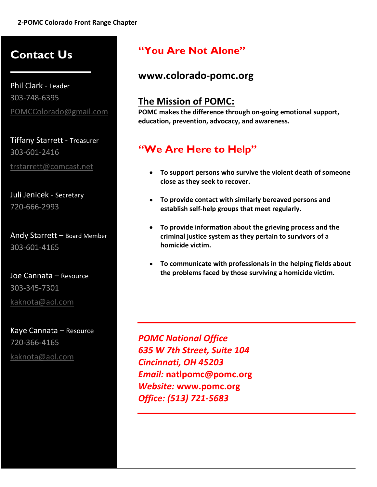# Contact Us

Phil Clark - Leader 303-748-6395 POMCColorado@gmail.com

Tiffany Starrett - Treasurer 303-601-2416 trstarrett@comcast.net

Juli Jenicek - Secretary 720-666-2993

Andy Starrett – Board Member 303-601-4165

Joe Cannata – Resource 303-345-7301 kaknota@aol.com

Kaye Cannata – Resource 720-366-4165 kaknota@aol.com

#### "You Are Not Alone"

#### www.colorado-pomc.org

#### The Mission of POMC:

POMC makes the difference through on-going emotional support, education, prevention, advocacy, and awareness.

#### "We Are Here to Help"

- To support persons who survive the violent death of someone close as they seek to recover.
- To provide contact with similarly bereaved persons and establish self-help groups that meet regularly.
- To provide information about the grieving process and the criminal justice system as they pertain to survivors of a homicide victim.
- To communicate with professionals in the helping fields about the problems faced by those surviving a homicide victim.

POMC National Office 635 W 7th Street, Suite 104 Cincinnati, OH 45203 Email: natlpomc@pomc.org Website: www.pomc.org Office: (513) 721-5683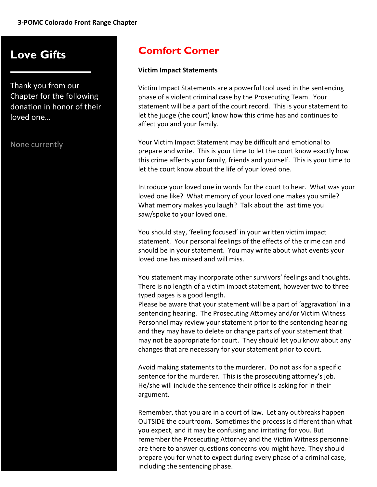# Love Gifts

Thank you from our Chapter for the following donation in honor of their loved one…

None currently

### Comfort Corner

#### Victim Impact Statements

Victim Impact Statements are a powerful tool used in the sentencing phase of a violent criminal case by the Prosecuting Team. Your statement will be a part of the court record. This is your statement to let the judge (the court) know how this crime has and continues to affect you and your family.

Your Victim Impact Statement may be difficult and emotional to prepare and write. This is your time to let the court know exactly how this crime affects your family, friends and yourself. This is your time to let the court know about the life of your loved one.

Introduce your loved one in words for the court to hear. What was your loved one like? What memory of your loved one makes you smile? What memory makes you laugh? Talk about the last time you saw/spoke to your loved one.

You should stay, 'feeling focused' in your written victim impact statement. Your personal feelings of the effects of the crime can and should be in your statement. You may write about what events your loved one has missed and will miss.

You statement may incorporate other survivors' feelings and thoughts. There is no length of a victim impact statement, however two to three typed pages is a good length.

Please be aware that your statement will be a part of 'aggravation' in a sentencing hearing. The Prosecuting Attorney and/or Victim Witness Personnel may review your statement prior to the sentencing hearing and they may have to delete or change parts of your statement that may not be appropriate for court. They should let you know about any changes that are necessary for your statement prior to court.

Avoid making statements to the murderer. Do not ask for a specific sentence for the murderer. This is the prosecuting attorney's job. He/she will include the sentence their office is asking for in their argument.

Remember, that you are in a court of law. Let any outbreaks happen OUTSIDE the courtroom. Sometimes the process is different than what you expect, and it may be confusing and irritating for you. But remember the Prosecuting Attorney and the Victim Witness personnel are there to answer questions concerns you might have. They should prepare you for what to expect during every phase of a criminal case, including the sentencing phase.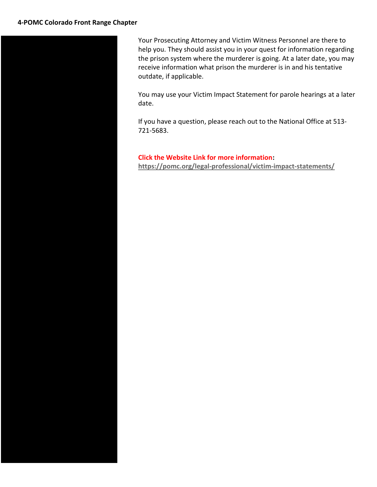Your Prosecuting Attorney and Victim Witness Personnel are there to help you. They should assist you in your quest for information regarding the prison system where the murderer is going. At a later date, you may receive information what prison the murderer is in and his tentative outdate, if applicable.

You may use your Victim Impact Statement for parole hearings at a later date.

If you have a question, please reach out to the National Office at 513- 721-5683.

Click the Website Link for more information: https://pomc.org/legal-professional/victim-impact-statements/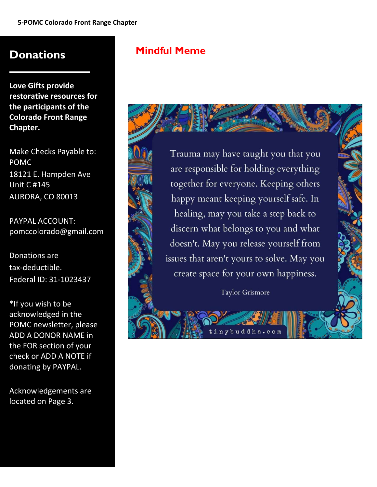#### **Donations**

Love Gifts provide restorative resources for the participants of the Colorado Front Range Chapter.

Make Checks Payable to: POMC 18121 E. Hampden Ave Unit C #145 AURORA, CO 80013

PAYPAL ACCOUNT: pomccolorado@gmail.com

Donations are tax-deductible. Federal ID: 31-1023437

\*If you wish to be acknowledged in the POMC newsletter, please ADD A DONOR NAME in the FOR section of your check or ADD A NOTE if donating by PAYPAL.

Acknowledgements are located on Page 3.

#### Mindful Meme



Trauma may have taught you that you are responsible for holding everything together for everyone. Keeping others happy meant keeping yourself safe. In healing, may you take a step back to discern what belongs to you and what doesn't. May you release yourself from issues that aren't yours to solve. May you create space for your own happiness.

Taylor Grismore

budd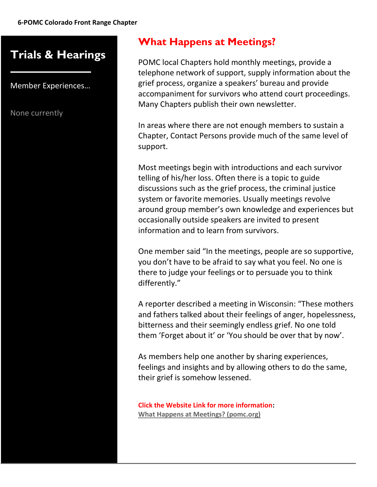# Trials & Hearings

Member Experiences…

None currently

#### What Happens at Meetings?

POMC local Chapters hold monthly meetings, provide a telephone network of support, supply information about the grief process, organize a speakers' bureau and provide accompaniment for survivors who attend court proceedings. Many Chapters publish their own newsletter.

In areas where there are not enough members to sustain a Chapter, Contact Persons provide much of the same level of support.

Most meetings begin with introductions and each survivor telling of his/her loss. Often there is a topic to guide discussions such as the grief process, the criminal justice system or favorite memories. Usually meetings revolve around group member's own knowledge and experiences but occasionally outside speakers are invited to present information and to learn from survivors.

One member said "In the meetings, people are so supportive, you don't have to be afraid to say what you feel. No one is there to judge your feelings or to persuade you to think differently."

A reporter described a meeting in Wisconsin: "These mothers and fathers talked about their feelings of anger, hopelessness, bitterness and their seemingly endless grief. No one told them 'Forget about it' or 'You should be over that by now'.

As members help one another by sharing experiences, feelings and insights and by allowing others to do the same, their grief is somehow lessened.

Click the Website Link for more information: What Happens at Meetings? (pomc.org)